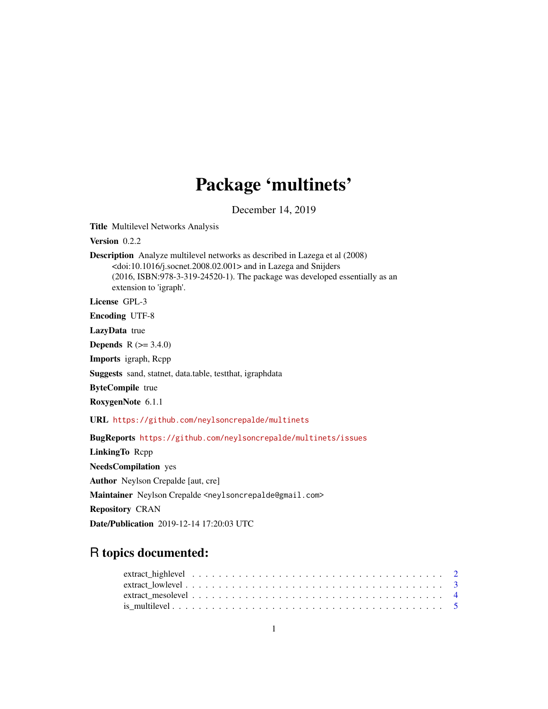## Package 'multinets'

December 14, 2019

<span id="page-0-0"></span>Title Multilevel Networks Analysis

Version 0.2.2

Description Analyze multilevel networks as described in Lazega et al (2008) <doi:10.1016/j.socnet.2008.02.001> and in Lazega and Snijders (2016, ISBN:978-3-319-24520-1). The package was developed essentially as an extension to 'igraph'.

License GPL-3

Encoding UTF-8

LazyData true

**Depends**  $R (= 3.4.0)$ 

Imports igraph, Rcpp

Suggests sand, statnet, data.table, testthat, igraphdata

ByteCompile true

RoxygenNote 6.1.1

URL <https://github.com/neylsoncrepalde/multinets>

BugReports <https://github.com/neylsoncrepalde/multinets/issues>

LinkingTo Rcpp NeedsCompilation yes Author Neylson Crepalde [aut, cre] Maintainer Neylson Crepalde <neylsoncrepalde@gmail.com> Repository CRAN Date/Publication 2019-12-14 17:20:03 UTC

## R topics documented: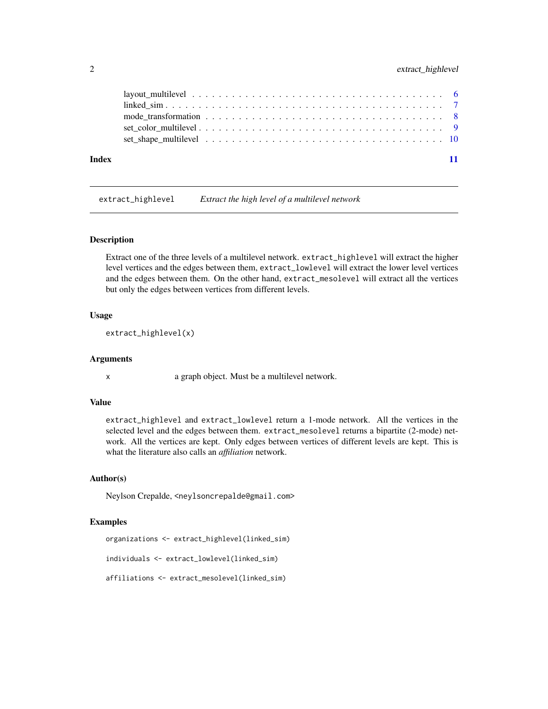#### <span id="page-1-0"></span>2 extract\_highlevel

| Index |  |
|-------|--|

extract\_highlevel *Extract the high level of a multilevel network*

#### Description

Extract one of the three levels of a multilevel network. extract\_highlevel will extract the higher level vertices and the edges between them, extract\_lowlevel will extract the lower level vertices and the edges between them. On the other hand, extract\_mesolevel will extract all the vertices but only the edges between vertices from different levels.

#### Usage

extract\_highlevel(x)

#### Arguments

x a graph object. Must be a multilevel network.

#### Value

extract\_highlevel and extract\_lowlevel return a 1-mode network. All the vertices in the selected level and the edges between them. extract\_mesolevel returns a bipartite (2-mode) network. All the vertices are kept. Only edges between vertices of different levels are kept. This is what the literature also calls an *affiliation* network.

#### Author(s)

Neylson Crepalde, <neylsoncrepalde@gmail.com>

#### Examples

organizations <- extract\_highlevel(linked\_sim)

```
individuals <- extract_lowlevel(linked_sim)
```

```
affiliations <- extract_mesolevel(linked_sim)
```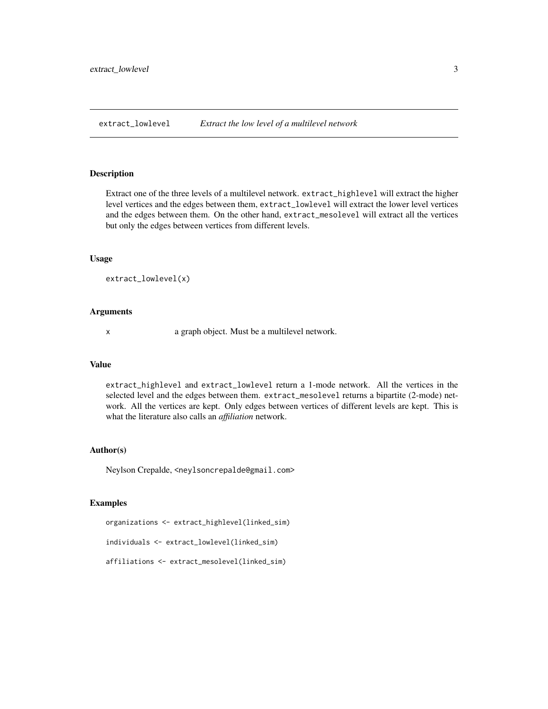<span id="page-2-0"></span>extract\_lowlevel *Extract the low level of a multilevel network*

#### Description

Extract one of the three levels of a multilevel network. extract\_highlevel will extract the higher level vertices and the edges between them, extract\_lowlevel will extract the lower level vertices and the edges between them. On the other hand, extract\_mesolevel will extract all the vertices but only the edges between vertices from different levels.

#### Usage

```
extract_lowlevel(x)
```
#### Arguments

x a graph object. Must be a multilevel network.

### Value

extract\_highlevel and extract\_lowlevel return a 1-mode network. All the vertices in the selected level and the edges between them. extract\_mesolevel returns a bipartite (2-mode) network. All the vertices are kept. Only edges between vertices of different levels are kept. This is what the literature also calls an *affiliation* network.

#### Author(s)

Neylson Crepalde, <neylsoncrepalde@gmail.com>

#### Examples

organizations <- extract\_highlevel(linked\_sim)

individuals <- extract\_lowlevel(linked\_sim)

affiliations <- extract\_mesolevel(linked\_sim)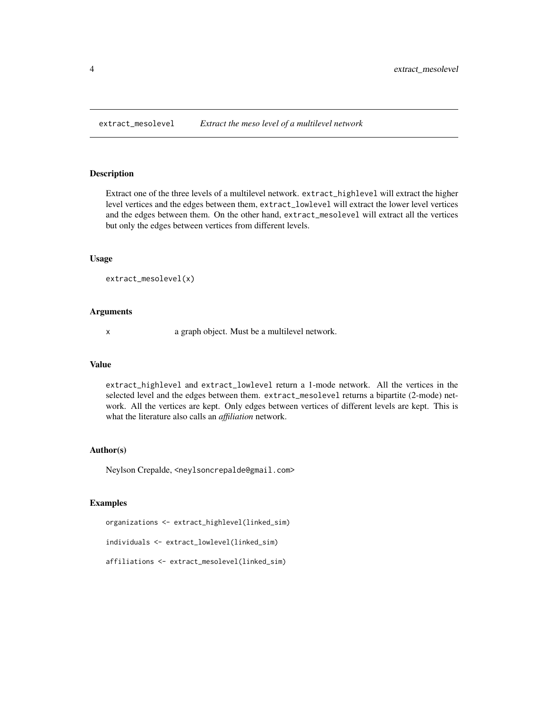<span id="page-3-1"></span><span id="page-3-0"></span>

#### Description

Extract one of the three levels of a multilevel network. extract\_highlevel will extract the higher level vertices and the edges between them, extract\_lowlevel will extract the lower level vertices and the edges between them. On the other hand, extract\_mesolevel will extract all the vertices but only the edges between vertices from different levels.

#### Usage

```
extract_mesolevel(x)
```
#### Arguments

x a graph object. Must be a multilevel network.

### Value

extract\_highlevel and extract\_lowlevel return a 1-mode network. All the vertices in the selected level and the edges between them. extract\_mesolevel returns a bipartite (2-mode) network. All the vertices are kept. Only edges between vertices of different levels are kept. This is what the literature also calls an *affiliation* network.

#### Author(s)

Neylson Crepalde, <neylsoncrepalde@gmail.com>

#### Examples

organizations <- extract\_highlevel(linked\_sim)

individuals <- extract\_lowlevel(linked\_sim)

affiliations <- extract\_mesolevel(linked\_sim)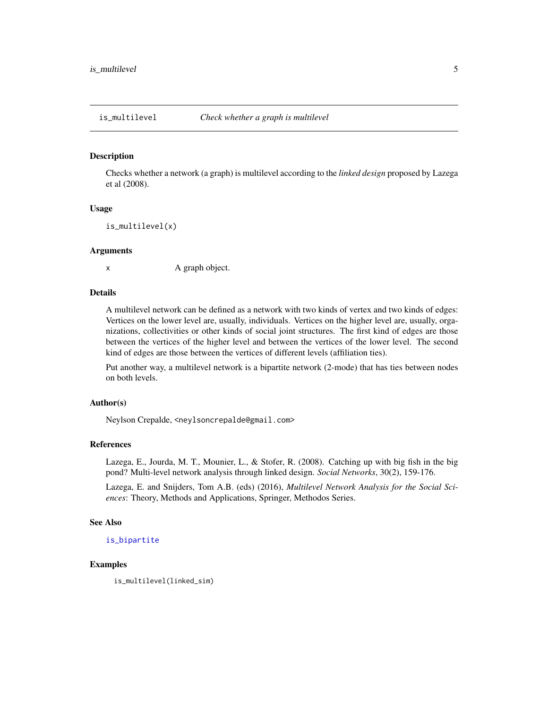<span id="page-4-0"></span>

#### Description

Checks whether a network (a graph) is multilevel according to the *linked design* proposed by Lazega et al (2008).

#### Usage

```
is_multilevel(x)
```
#### Arguments

x A graph object.

#### Details

A multilevel network can be defined as a network with two kinds of vertex and two kinds of edges: Vertices on the lower level are, usually, individuals. Vertices on the higher level are, usually, organizations, collectivities or other kinds of social joint structures. The first kind of edges are those between the vertices of the higher level and between the vertices of the lower level. The second kind of edges are those between the vertices of different levels (affiliation ties).

Put another way, a multilevel network is a bipartite network (2-mode) that has ties between nodes on both levels.

#### Author(s)

Neylson Crepalde, <neylsoncrepalde@gmail.com>

#### References

Lazega, E., Jourda, M. T., Mounier, L., & Stofer, R. (2008). Catching up with big fish in the big pond? Multi-level network analysis through linked design. *Social Networks*, 30(2), 159-176.

Lazega, E. and Snijders, Tom A.B. (eds) (2016), *Multilevel Network Analysis for the Social Sciences*: Theory, Methods and Applications, Springer, Methodos Series.

#### See Also

[is\\_bipartite](#page-0-0)

#### Examples

is\_multilevel(linked\_sim)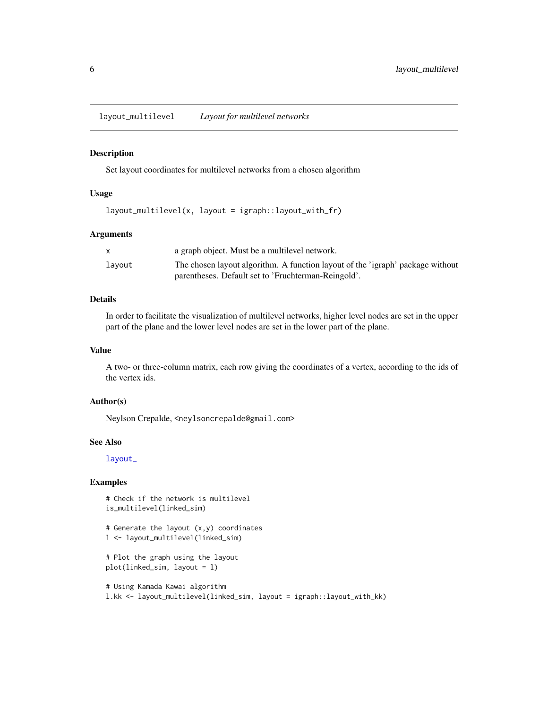<span id="page-5-0"></span>layout\_multilevel *Layout for multilevel networks*

#### Description

Set layout coordinates for multilevel networks from a chosen algorithm

#### Usage

layout\_multilevel(x, layout = igraph::layout\_with\_fr)

#### Arguments

|        | a graph object. Must be a multilevel network.                                  |
|--------|--------------------------------------------------------------------------------|
| lavout | The chosen layout algorithm. A function layout of the 'igraph' package without |
|        | parentheses. Default set to 'Fruchterman-Reingold'.                            |

#### Details

In order to facilitate the visualization of multilevel networks, higher level nodes are set in the upper part of the plane and the lower level nodes are set in the lower part of the plane.

#### Value

A two- or three-column matrix, each row giving the coordinates of a vertex, according to the ids of the vertex ids.

#### Author(s)

Neylson Crepalde, <neylsoncrepalde@gmail.com>

#### See Also

[layout\\_](#page-0-0)

#### Examples

```
# Check if the network is multilevel
is_multilevel(linked_sim)
```

```
# Generate the layout (x,y) coordinates
l <- layout_multilevel(linked_sim)
```

```
# Plot the graph using the layout
plot(linked_sim, layout = l)
```

```
# Using Kamada Kawai algorithm
l.kk <- layout_multilevel(linked_sim, layout = igraph::layout_with_kk)
```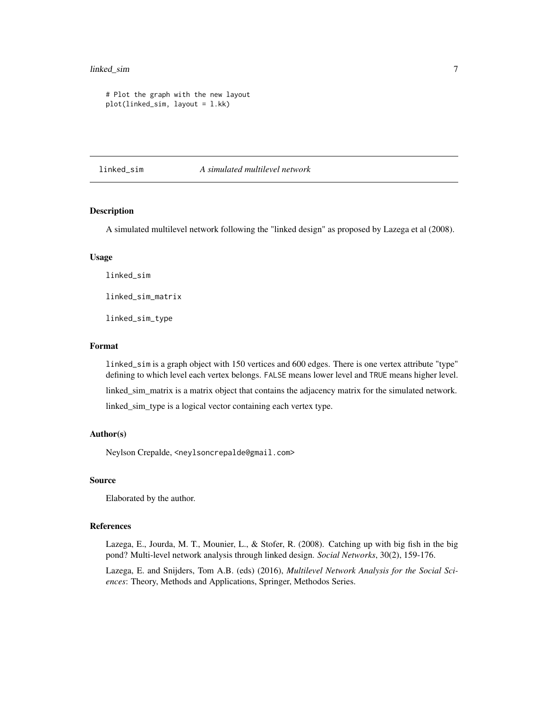#### <span id="page-6-0"></span>linked\_sim 7

```
# Plot the graph with the new layout
plot(linked_sim, layout = l.kk)
```
linked\_sim *A simulated multilevel network*

#### Description

A simulated multilevel network following the "linked design" as proposed by Lazega et al (2008).

#### Usage

linked\_sim

linked\_sim\_matrix

linked\_sim\_type

#### Format

linked\_sim is a graph object with 150 vertices and 600 edges. There is one vertex attribute "type" defining to which level each vertex belongs. FALSE means lower level and TRUE means higher level.

linked\_sim\_matrix is a matrix object that contains the adjacency matrix for the simulated network.

linked\_sim\_type is a logical vector containing each vertex type.

#### Author(s)

Neylson Crepalde, <neylsoncrepalde@gmail.com>

#### Source

Elaborated by the author.

#### References

Lazega, E., Jourda, M. T., Mounier, L., & Stofer, R. (2008). Catching up with big fish in the big pond? Multi-level network analysis through linked design. *Social Networks*, 30(2), 159-176.

Lazega, E. and Snijders, Tom A.B. (eds) (2016), *Multilevel Network Analysis for the Social Sciences*: Theory, Methods and Applications, Springer, Methodos Series.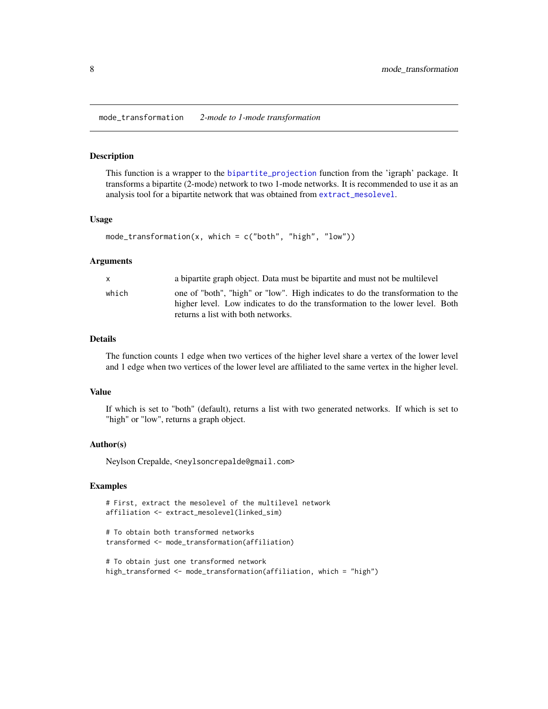<span id="page-7-0"></span>mode\_transformation *2-mode to 1-mode transformation*

#### Description

This function is a wrapper to the [bipartite\\_projection](#page-0-0) function from the 'igraph' package. It transforms a bipartite (2-mode) network to two 1-mode networks. It is recommended to use it as an analysis tool for a bipartite network that was obtained from [extract\\_mesolevel](#page-3-1).

#### Usage

```
mode_transformation(x, which = c("both", "high", "low"))
```
#### Arguments

| a bipartite graph object. Data must be bipartite and must not be multilevel                                                                                                                                    |  |
|----------------------------------------------------------------------------------------------------------------------------------------------------------------------------------------------------------------|--|
| one of "both", "high" or "low". High indicates to do the transformation to the<br>which<br>higher level. Low indicates to do the transformation to the lower level. Both<br>returns a list with both networks. |  |

#### Details

The function counts 1 edge when two vertices of the higher level share a vertex of the lower level and 1 edge when two vertices of the lower level are affiliated to the same vertex in the higher level.

#### Value

If which is set to "both" (default), returns a list with two generated networks. If which is set to "high" or "low", returns a graph object.

#### Author(s)

Neylson Crepalde, <neylsoncrepalde@gmail.com>

#### Examples

```
# First, extract the mesolevel of the multilevel network
affiliation <- extract_mesolevel(linked_sim)
```

```
# To obtain both transformed networks
transformed <- mode_transformation(affiliation)
```
# To obtain just one transformed network high\_transformed <- mode\_transformation(affiliation, which = "high")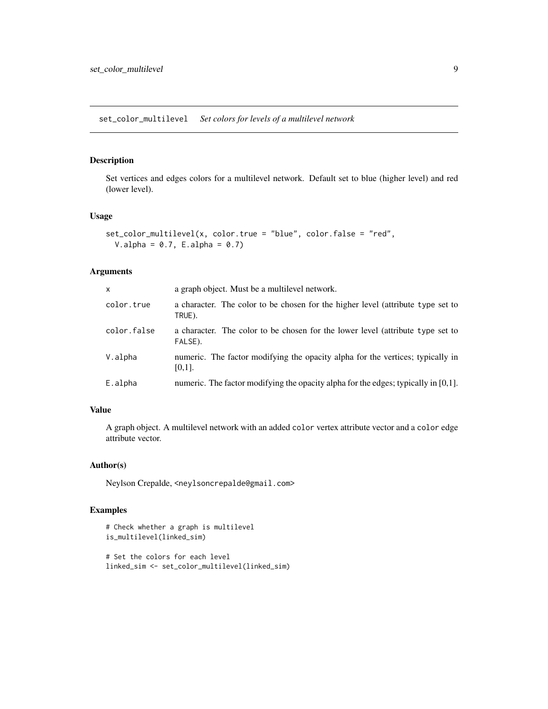<span id="page-8-0"></span>set\_color\_multilevel *Set colors for levels of a multilevel network*

#### Description

Set vertices and edges colors for a multilevel network. Default set to blue (higher level) and red (lower level).

#### Usage

```
set_color_multilevel(x, color.true = "blue", color.false = "red",
 V. alpha = 0.7, E. alpha = 0.7)
```
#### Arguments

| $\times$    | a graph object. Must be a multilevel network.                                               |
|-------------|---------------------------------------------------------------------------------------------|
| color.true  | a character. The color to be chosen for the higher level (attribute type set to<br>TRUE).   |
| color.false | a character. The color to be chosen for the lower level (attribute type set to<br>FALSE).   |
| V.alpha     | numeric. The factor modifying the opacity alpha for the vertices; typically in<br>$[0,1]$ . |
| E.alpha     | numeric. The factor modifying the opacity alpha for the edges; typically in [0,1].          |

#### Value

A graph object. A multilevel network with an added color vertex attribute vector and a color edge attribute vector.

#### Author(s)

Neylson Crepalde, <neylsoncrepalde@gmail.com>

#### Examples

```
# Check whether a graph is multilevel
is_multilevel(linked_sim)
```

```
# Set the colors for each level
linked_sim <- set_color_multilevel(linked_sim)
```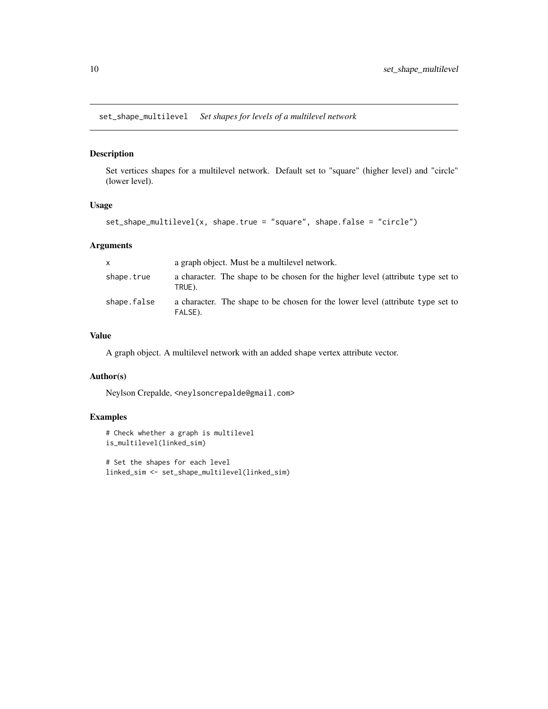<span id="page-9-0"></span>set\_shape\_multilevel *Set shapes for levels of a multilevel network*

#### Description

Set vertices shapes for a multilevel network. Default set to "square" (higher level) and "circle" (lower level).

#### Usage

```
set_shape_multilevel(x, shape.true = "square", shape.false = "circle")
```
#### Arguments

| X           | a graph object. Must be a multilevel network.                                             |
|-------------|-------------------------------------------------------------------------------------------|
| shape.true  | a character. The shape to be chosen for the higher level (attribute type set to<br>TRUE). |
| shape.false | a character. The shape to be chosen for the lower level (attribute type set to<br>FALSE). |

#### Value

A graph object. A multilevel network with an added shape vertex attribute vector.

#### Author(s)

Neylson Crepalde, <neylsoncrepalde@gmail.com>

#### Examples

```
# Check whether a graph is multilevel
is_multilevel(linked_sim)
```
# Set the shapes for each level linked\_sim <- set\_shape\_multilevel(linked\_sim)